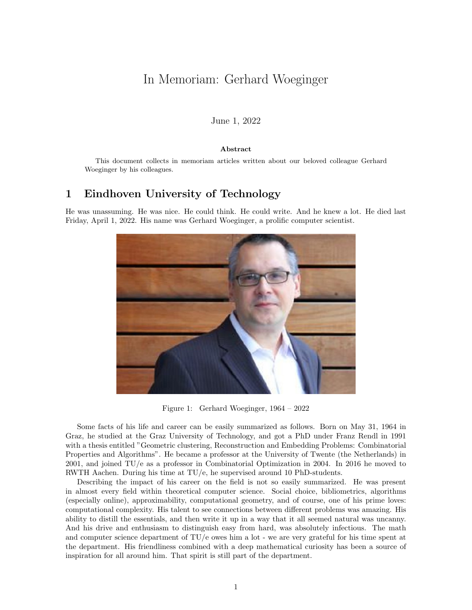# In Memoriam: Gerhard Woeginger

#### June 1, 2022

#### Abstract

This document collects in memoriam articles written about our beloved colleague Gerhard Woeginger by his colleagues.

### 1 Eindhoven University of Technology

He was unassuming. He was nice. He could think. He could write. And he knew a lot. He died last Friday, April 1, 2022. His name was Gerhard Woeginger, a prolific computer scientist.



Figure 1: Gerhard Woeginger, 1964 – 2022

Some facts of his life and career can be easily summarized as follows. Born on May 31, 1964 in Graz, he studied at the Graz University of Technology, and got a PhD under Franz Rendl in 1991 with a thesis entitled "Geometric clustering, Reconstruction and Embedding Problems: Combinatorial Properties and Algorithms". He became a professor at the University of Twente (the Netherlands) in 2001, and joined TU/e as a professor in Combinatorial Optimization in 2004. In 2016 he moved to RWTH Aachen. During his time at TU/e, he supervised around 10 PhD-students.

Describing the impact of his career on the field is not so easily summarized. He was present in almost every field within theoretical computer science. Social choice, bibliometrics, algorithms (especially online), approximability, computational geometry, and of course, one of his prime loves: computational complexity. His talent to see connections between different problems was amazing. His ability to distill the essentials, and then write it up in a way that it all seemed natural was uncanny. And his drive and enthusiasm to distinguish easy from hard, was absolutely infectious. The math and computer science department of TU/e owes him a lot - we are very grateful for his time spent at the department. His friendliness combined with a deep mathematical curiosity has been a source of inspiration for all around him. That spirit is still part of the department.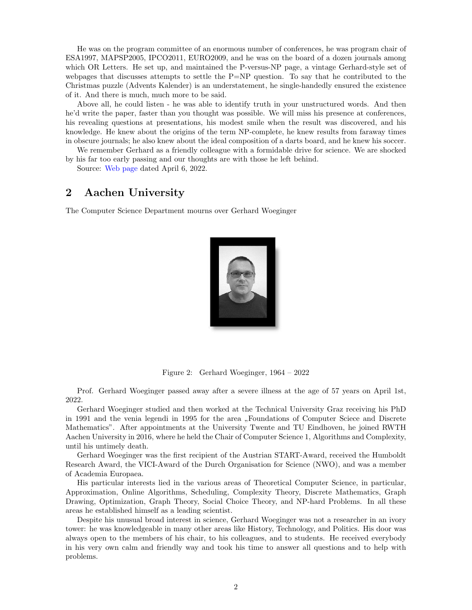He was on the program committee of an enormous number of conferences, he was program chair of ESA1997, MAPSP2005, IPCO2011, EURO2009, and he was on the board of a dozen journals among which OR Letters. He set up, and maintained the P-versus-NP page, a vintage Gerhard-style set of webpages that discusses attempts to settle the  $P=NP$  question. To say that he contributed to the Christmas puzzle (Advents Kalender) is an understatement, he single-handedly ensured the existence of it. And there is much, much more to be said.

Above all, he could listen - he was able to identify truth in your unstructured words. And then he'd write the paper, faster than you thought was possible. We will miss his presence at conferences, his revealing questions at presentations, his modest smile when the result was discovered, and his knowledge. He knew about the origins of the term NP-complete, he knew results from faraway times in obscure journals; he also knew about the ideal composition of a darts board, and he knew his soccer.

We remember Gerhard as a friendly colleague with a formidable drive for science. We are shocked

by his far too early passing and our thoughts are with those he left behind. Source: [Web page](https://www.tue.nl/en/news-and-events/news-overview/06-04-2022-in-memoriam-gerhard-woeginger/) dated April 6, 2022.

### 2 Aachen University

The Computer Science Department mourns over Gerhard Woeginger



Figure 2: Gerhard Woeginger, 1964 – 2022

Prof. Gerhard Woeginger passed away after a severe illness at the age of 57 years on April 1st, 2022.

Gerhard Woeginger studied and then worked at the Technical University Graz receiving his PhD in 1991 and the venia legendi in 1995 for the area "Foundations of Computer Sciece and Discrete<br>Mathematics" After appointments at the University Trunte and TU Eindhessen, he issued DWTU Mathematics". After appointments at the University Twente and TU Eindhoven, he joined RWTH Aachen University in 2016, where he held the Chair of Computer Science 1, Algorithms and Complexity, until his untimely death.

Gerhard Woeginger was the first recipient of the Austrian START-Award, received the Humboldt Research Award, the VICI-Award of the Durch Organisation for Science (NWO), and was a member of Academia Europaea.

His particular interests lied in the various areas of Theoretical Computer Science, in particular, Approximation, Online Algorithms, Scheduling, Complexity Theory, Discrete Mathematics, Graph Drawing, Optimization, Graph Theory, Social Choice Theory, and NP-hard Problems. In all these areas he established himself as a leading scientist.

Despite his unusual broad interest in science, Gerhard Woeginger was not a researcher in an ivory tower: he was knowledgeable in many other areas like History, Technology, and Politics. His door was always open to the members of his chair, to his colleagues, and to students. He received everybody in his very own calm and friendly way and took his time to answer all questions and to help with problems.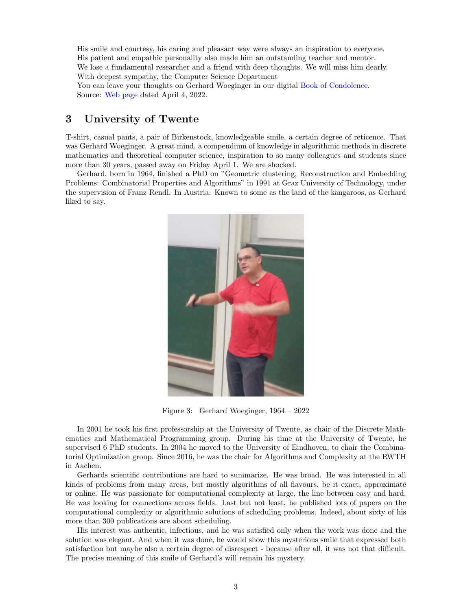His smile and courtesy, his caring and pleasant way were always an inspiration to everyone. His patient and empathic personality also made him an outstanding teacher and mentor. We lose a fundamental researcher and a friend with deep thoughts. We will miss him dearly. With deepest sympathy, the Computer Science Department

You can leave your thoughts on Gerhard Woeginger in our digital [Book of Condolence.](https://blog.rwth-aachen.de/trauerbuchgw/en/2022/04/20/thoughts/) Source: [Web page](https://www.informatik.rwth-aachen.de/cms/informatik/Fachgruppe/Aktuell/Meldungen/~ukvwk/Trauer-um-Gerhard-Woeginger/lidx/1/) dated April 4, 2022.

## 3 University of Twente

T-shirt, casual pants, a pair of Birkenstock, knowledgeable smile, a certain degree of reticence. That was Gerhard Woeginger. A great mind, a compendium of knowledge in algorithmic methods in discrete mathematics and theoretical computer science, inspiration to so many colleagues and students since more than 30 years, passed away on Friday April 1. We are shocked.

Gerhard, born in 1964, finished a PhD on "Geometric clustering, Reconstruction and Embedding Problems: Combinatorial Properties and Algorithms" in 1991 at Graz University of Technology, under the supervision of Franz Rendl. In Austria. Known to some as the land of the kangaroos, as Gerhard liked to say.



Figure 3: Gerhard Woeginger, 1964 – 2022

In 2001 he took his first professorship at the University of Twente, as chair of the Discrete Mathematics and Mathematical Programming group. During his time at the University of Twente, he supervised 6 PhD students. In 2004 he moved to the University of Eindhoven, to chair the Combinatorial Optimization group. Since 2016, he was the chair for Algorithms and Complexity at the RWTH in Aachen.

Gerhards scientific contributions are hard to summarize. He was broad. He was interested in all kinds of problems from many areas, but mostly algorithms of all flavours, be it exact, approximate or online. He was passionate for computational complexity at large, the line between easy and hard. He was looking for connections across fields. Last but not least, he published lots of papers on the computational complexity or algorithmic solutions of scheduling problems. Indeed, about sixty of his more than 300 publications are about scheduling.

His interest was authentic, infectious, and he was satisfied only when the work was done and the solution was elegant. And when it was done, he would show this mysterious smile that expressed both satisfaction but maybe also a certain degree of disrespect - because after all, it was not that difficult. The precise meaning of this smile of Gerhard's will remain his mystery.